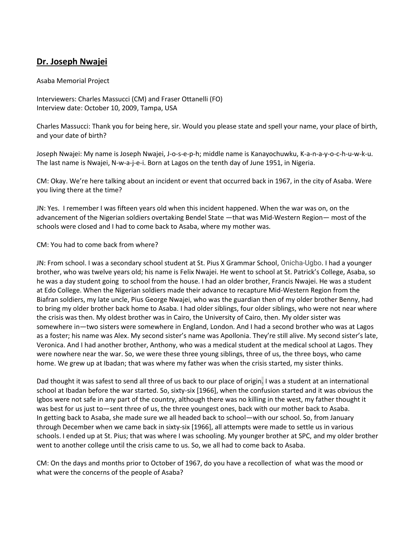## **Dr. Joseph Nwajei**

## Asaba Memorial Project

Interviewers: Charles Massucci (CM) and Fraser Ottanelli (FO) Interview date: October 10, 2009, Tampa, USA

Charles Massucci: Thank you for being here, sir. Would you please state and spell your name, your place of birth, and your date of birth?

Joseph Nwajei: My name is Joseph Nwajei, J-o-s-e-p-h; middle name is Kanayochuwku, K-a-n-a-y-o-c-h-u-w-k-u. The last name is Nwajei, N-w-a-j-e-i. Born at Lagos on the tenth day of June 1951, in Nigeria.

CM: Okay. We're here talking about an incident or event that occurred back in 1967, in the city of Asaba. Were you living there at the time?

JN: Yes. I remember I was fifteen years old when this incident happened. When the war was on, on the advancement of the Nigerian soldiers overtaking Bendel State —that was Mid-Western Region— most of the schools were closed and I had to come back to Asaba, where my mother was.

## CM: You had to come back from where?

JN: From school. I was a secondary school student at St. Pius X Grammar School, Onicha-Ugbo. I had a younger brother, who was twelve years old; his name is Felix Nwajei. He went to school at St. Patrick's College, Asaba, so he was a day student going to school from the house. I had an older brother, Francis Nwajei. He was a student at Edo College. When the Nigerian soldiers made their advance to recapture Mid-Western Region from the Biafran soldiers, my late uncle, Pius George Nwajei, who was the guardian then of my older brother Benny, had to bring my older brother back home to Asaba. I had older siblings, four older siblings, who were not near where the crisis was then. My oldest brother was in Cairo, the University of Cairo, then. My older sister was somewhere in—two sisters were somewhere in England, London. And I had a second brother who was at Lagos as a foster; his name was Alex. My second sister's name was Apollonia. They're still alive. My second sister's late, Veronica. And I had another brother, Anthony, who was a medical student at the medical school at Lagos. They were nowhere near the war. So, we were these three young siblings, three of us, the three boys, who came home. We grew up at Ibadan; that was where my father was when the crisis started, my sister thinks.

Dad thought it was safest to send all three of us back to our place of origin. I was a student at an international school at Ibadan before the war started. So, sixty-six [1966], when the confusion started and it was obvious the Igbos were not safe in any part of the country, although there was no killing in the west, my father thought it was best for us just to—sent three of us, the three youngest ones, back with our mother back to Asaba. In getting back to Asaba, she made sure we all headed back to school—with our school. So, from January through December when we came back in sixty-six [1966], all attempts were made to settle us in various schools. I ended up at St. Pius; that was where I was schooling. My younger brother at SPC, and my older brother went to another college until the crisis came to us. So, we all had to come back to Asaba.

CM: On the days and months prior to October of 1967, do you have a recollection of what was the mood or what were the concerns of the people of Asaba?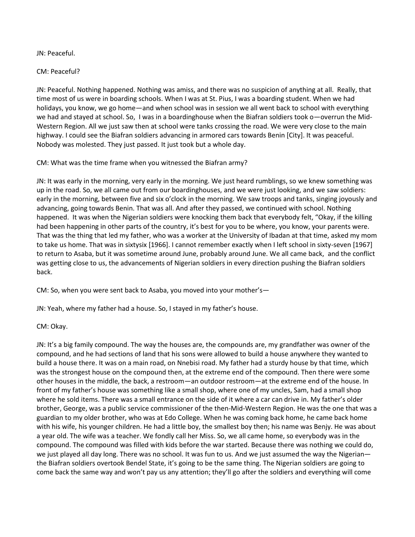JN: Peaceful.

CM: Peaceful?

JN: Peaceful. Nothing happened. Nothing was amiss, and there was no suspicion of anything at all. Really, that time most of us were in boarding schools. When I was at St. Pius, I was a boarding student. When we had holidays, you know, we go home—and when school was in session we all went back to school with everything we had and stayed at school. So, I was in a boardinghouse when the Biafran soldiers took o—overrun the Mid-Western Region. All we just saw then at school were tanks crossing the road. We were very close to the main highway. I could see the Biafran soldiers advancing in armored cars towards Benin [City]. It was peaceful. Nobody was molested. They just passed. It just took but a whole day.

CM: What was the time frame when you witnessed the Biafran army?

JN: It was early in the morning, very early in the morning. We just heard rumblings, so we knew something was up in the road. So, we all came out from our boardinghouses, and we were just looking, and we saw soldiers: early in the morning, between five and six o'clock in the morning. We saw troops and tanks, singing joyously and advancing, going towards Benin. That was all. And after they passed, we continued with school. Nothing happened. It was when the Nigerian soldiers were knocking them back that everybody felt, "Okay, if the killing had been happening in other parts of the country, it's best for you to be where, you know, your parents were. That was the thing that led my father, who was a worker at the University of Ibadan at that time, asked my mom to take us home. That was in sixtysix [1966]. I cannot remember exactly when I left school in sixty-seven [1967] to return to Asaba, but it was sometime around June, probably around June. We all came back, and the conflict was getting close to us, the advancements of Nigerian soldiers in every direction pushing the Biafran soldiers back.

CM: So, when you were sent back to Asaba, you moved into your mother's—

JN: Yeah, where my father had a house. So, I stayed in my father's house.

CM: Okay.

JN: It's a big family compound. The way the houses are, the compounds are, my grandfather was owner of the compound, and he had sections of land that his sons were allowed to build a house anywhere they wanted to build a house there. It was on a main road, on Nnebisi road. My father had a sturdy house by that time, which was the strongest house on the compound then, at the extreme end of the compound. Then there were some other houses in the middle, the back, a restroom—an outdoor restroom—at the extreme end of the house. In front of my father's house was something like a small shop, where one of my uncles, Sam, had a small shop where he sold items. There was a small entrance on the side of it where a car can drive in. My father's older brother, George, was a public service commissioner of the then-Mid-Western Region. He was the one that was a guardian to my older brother, who was at Edo College. When he was coming back home, he came back home with his wife, his younger children. He had a little boy, the smallest boy then; his name was Benjy. He was about a year old. The wife was a teacher. We fondly call her Miss. So, we all came home, so everybody was in the compound. The compound was filled with kids before the war started. Because there was nothing we could do, we just played all day long. There was no school. It was fun to us. And we just assumed the way the Nigerian the Biafran soldiers overtook Bendel State, it's going to be the same thing. The Nigerian soldiers are going to come back the same way and won't pay us any attention; they'll go after the soldiers and everything will come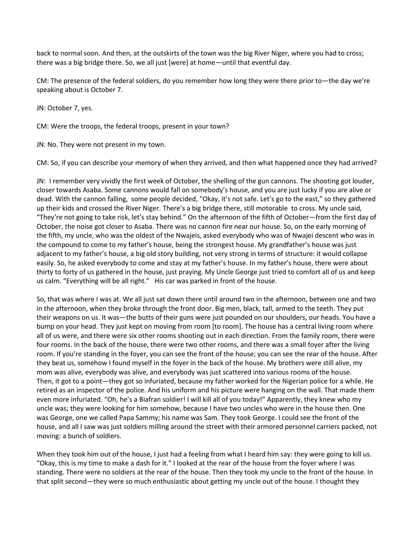back to normal soon. And then, at the outskirts of the town was the big River Niger, where you had to cross; there was a big bridge there. So, we all just [were] at home—until that eventful day.

CM: The presence of the federal soldiers, do you remember how long they were there prior to—the day we're speaking about is October 7.

JN: October 7, yes.

CM: Were the troops, the federal troops, present in your town?

JN: No. They were not present in my town.

CM: So, if you can describe your memory of when they arrived, and then what happened once they had arrived?

JN: I remember very vividly the first week of October, the shelling of the gun cannons. The shooting got louder, closer towards Asaba. Some cannons would fall on somebody's house, and you are just lucky if you are alive or dead. With the cannon falling, some people decided, "Okay, it's not safe. Let's go to the east," so they gathered up their kids and crossed the River Niger. There's a big bridge there, still motorable to cross. My uncle said, "They're not going to take risk, let's stay behind." On the afternoon of the fifth of October—from the first day of October, the noise got closer to Asaba. There was no cannon fire near our house. So, on the early morning of the fifth, my uncle, who was the oldest of the Nwajeis, asked everybody who was of Nwajei descent who was in the compound to come to my father's house, being the strongest house. My grandfather's house was just adjacent to my father's house, a big old story building, not very strong in terms of structure: it would collapse easily. So, he asked everybody to come and stay at my father's house. In my father's house, there were about thirty to forty of us gathered in the house, just praying. My Uncle George just tried to comfort all of us and keep us calm. "Everything will be all right." His car was parked in front of the house.

So, that was where I was at. We all just sat down there until around two in the afternoon, between one and two in the afternoon, when they broke through the front door. Big men, black, tall, armed to the teeth. They put their weapons on us. It was—the butts of their guns were just pounded on our shoulders, our heads. You have a bump on your head. They just kept on moving from room [to room]. The house has a central living room where all of us were, and there were six other rooms shooting out in each direction. From the family room, there were four rooms. In the back of the house, there were two other rooms, and there was a small foyer after the living room. If you're standing in the foyer, you can see the front of the house; you can see the rear of the house. After they beat us, somehow I found myself in the foyer in the back of the house. My brothers were still alive, my mom was alive, everybody was alive, and everybody was just scattered into various rooms of the house. Then, it got to a point—they got so infuriated, because my father worked for the Nigerian police for a while. He retired as an inspector of the police. And his uniform and his picture were hanging on the wall. That made them even more infuriated. "Oh, he's a Biafran soldier! I will kill all of you today!" Apparently, they knew who my uncle was; they were looking for him somehow, because I have two uncles who were in the house then. One was George, one we called Papa Sammy; his name was Sam. They took George. I could see the front of the house, and all I saw was just soldiers milling around the street with their armored personnel carriers packed, not moving: a bunch of soldiers.

When they took him out of the house, I just had a feeling from what I heard him say: they were going to kill us. "Okay, this is my time to make a dash for it." I looked at the rear of the house from the foyer where I was standing. There were no soldiers at the rear of the house. Then they took my uncle to the front of the house. In that split second—they were so much enthusiastic about getting my uncle out of the house. I thought they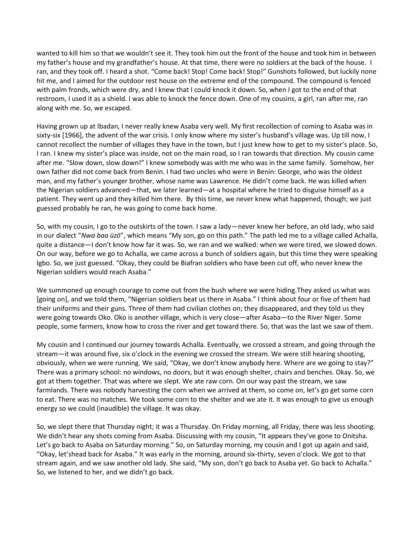wanted to kill him so that we wouldn't see it. They took him out the front of the house and took him in between my father's house and my grandfather's house. At that time, there were no soldiers at the back of the house. I ran, and they took off. I heard a shot. "Come back! Stop! Come back! Stop!" Gunshots followed, but luckily none hit me, and I aimed for the outdoor rest house on the extreme end of the compound. The compound is fenced with palm fronds, which were dry, and I knew that I could knock it down. So, when I got to the end of that restroom, I used it as a shield. I was able to knock the fence down. One of my cousins, a girl, ran after me, ran along with me. So, we escaped.

Having grown up at Ibadan, I never really knew Asaba very well. My first recollection of coming to Asaba was in sixty-six [1966], the advent of the war crisis. I only know where my sister's husband's village was. Up till now, I cannot recollect the number of villages they have in the town, but I just knew how to get to my sister's place. So, I ran. I knew my sister's place was inside, not on the main road, so I ran towards that direction. My cousin came after me. "Slow down, slow down!" I knew somebody was with me who was in the same family. Somehow, her own father did not come back from Benin. I had two uncles who were in Benin: George, who was the oldest man, and my father's younger brother, whose name was Lawrence. He didn't come back. He was killed when the Nigerian soldiers advanced—that, we later learned—at a hospital where he tried to disguise himself as a patient. They went up and they killed him there. By this time, we never knew what happened, though; we just guessed probably he ran, he was going to come back home.

So, with my cousin, I go to the outskirts of the town. I saw a lady—never knew her before, an old lady, who said in our dialect "*Nwa baa üzö*", which means "My son, go on this path." The path led me to a village called Achalla, quite a distance—I don't know how far it was. So, we ran and we walked: when we were tired, we slowed down. On our way, before we go to Achalla, we came across a bunch of soldiers again, but this time they were speaking Igbo. So, we just guessed. "Okay, they could be Biafran soldiers who have been cut off, who never knew the Nigerian soldiers would reach Asaba."

We summoned up enough courage to come out from the bush where we were hiding.They asked us what was [going on], and we told them, "Nigerian soldiers beat us there in Asaba." I think about four or five of them had their uniforms and their guns. Three of them had civilian clothes on; they disappeared, and they told us they were going towards Oko. Oko is another village, which is very close—after Asaba—to the River Niger. Some people, some farmers, know how to cross the river and get toward there. So, that was the last we saw of them.

My cousin and I continued our journey towards Achalla. Eventually, we crossed a stream, and going through the stream—it was around five, six o'clock in the evening we crossed the stream. We were still hearing shooting, obviously, when we were running. We said, "Okay, we don't know anybody here. Where are we going to stay?" There was a primary school: no windows, no doors, but it was enough shelter, chairs and benches. Okay. So, we got at them together. That was where we slept. We ate raw corn. On our way past the stream, we saw farmlands. There was nobody harvesting the corn when we arrived at them, so come on, let's go get some corn to eat. There was no matches. We took some corn to the shelter and we ate it. It was enough to give us enough energy so we could (inaudible) the village. It was okay.

So, we slept there that Thursday night; it was a Thursday. On Friday morning, all Friday, there was less shooting. We didn't hear any shots coming from Asaba. Discussing with my cousin, "It appears they've gone to Onitsha. Let's go back to Asaba on Saturday morning." So, on Saturday morning, my cousin and I got up again and said, "Okay, let'shead back for Asaba." It was early in the morning, around six-thirty, seven o'clock. We got to that stream again, and we saw another old lady. She said, "My son, don't go back to Asaba yet. Go back to Achalla." So, we listened to her, and we didn't go back.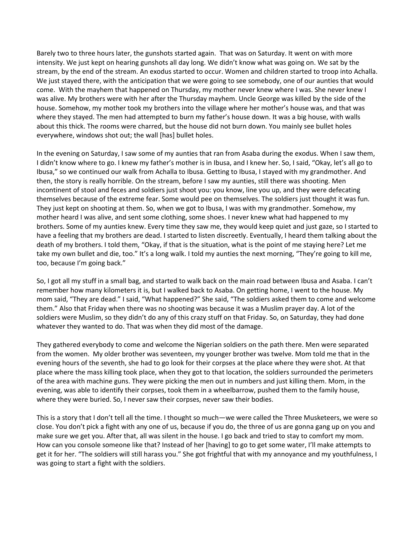Barely two to three hours later, the gunshots started again. That was on Saturday. It went on with more intensity. We just kept on hearing gunshots all day long. We didn't know what was going on. We sat by the stream, by the end of the stream. An exodus started to occur. Women and children started to troop into Achalla. We just stayed there, with the anticipation that we were going to see somebody, one of our aunties that would come. With the mayhem that happened on Thursday, my mother never knew where I was. She never knew I was alive. My brothers were with her after the Thursday mayhem. Uncle George was killed by the side of the house. Somehow, my mother took my brothers into the village where her mother's house was, and that was where they stayed. The men had attempted to burn my father's house down. It was a big house, with walls about this thick. The rooms were charred, but the house did not burn down. You mainly see bullet holes everywhere, windows shot out; the wall [has] bullet holes.

In the evening on Saturday, I saw some of my aunties that ran from Asaba during the exodus. When I saw them, I didn't know where to go. I knew my father's mother is in Ibusa, and I knew her. So, I said, "Okay, let's all go to Ibusa," so we continued our walk from Achalla to Ibusa. Getting to Ibusa, I stayed with my grandmother. And then, the story is really horrible. On the stream, before I saw my aunties, still there was shooting. Men incontinent of stool and feces and soldiers just shoot you: you know, line you up, and they were defecating themselves because of the extreme fear. Some would pee on themselves. The soldiers just thought it was fun. They just kept on shooting at them. So, when we got to Ibusa, I was with my grandmother. Somehow, my mother heard I was alive, and sent some clothing, some shoes. I never knew what had happened to my brothers. Some of my aunties knew. Every time they saw me, they would keep quiet and just gaze, so I started to have a feeling that my brothers are dead. I started to listen discreetly. Eventually, I heard them talking about the death of my brothers. I told them, "Okay, if that is the situation, what is the point of me staying here? Let me take my own bullet and die, too." It's a long walk. I told my aunties the next morning, "They're going to kill me, too, because I'm going back."

So, I got all my stuff in a small bag, and started to walk back on the main road between Ibusa and Asaba. I can't remember how many kilometers it is, but I walked back to Asaba. On getting home, I went to the house. My mom said, "They are dead." I said, "What happened?" She said, "The soldiers asked them to come and welcome them." Also that Friday when there was no shooting was because it was a Muslim prayer day. A lot of the soldiers were Muslim, so they didn't do any of this crazy stuff on that Friday. So, on Saturday, they had done whatever they wanted to do. That was when they did most of the damage.

They gathered everybody to come and welcome the Nigerian soldiers on the path there. Men were separated from the women. My older brother was seventeen, my younger brother was twelve. Mom told me that in the evening hours of the seventh, she had to go look for their corpses at the place where they were shot. At that place where the mass killing took place, when they got to that location, the soldiers surrounded the perimeters of the area with machine guns. They were picking the men out in numbers and just killing them. Mom, in the evening, was able to identify their corpses, took them in a wheelbarrow, pushed them to the family house, where they were buried. So, I never saw their corpses, never saw their bodies.

This is a story that I don't tell all the time. I thought so much—we were called the Three Musketeers, we were so close. You don't pick a fight with any one of us, because if you do, the three of us are gonna gang up on you and make sure we get you. After that, all was silent in the house. I go back and tried to stay to comfort my mom. How can you console someone like that? Instead of her [having] to go to get some water, I'll make attempts to get it for her. "The soldiers will still harass you." She got frightful that with my annoyance and my youthfulness, I was going to start a fight with the soldiers.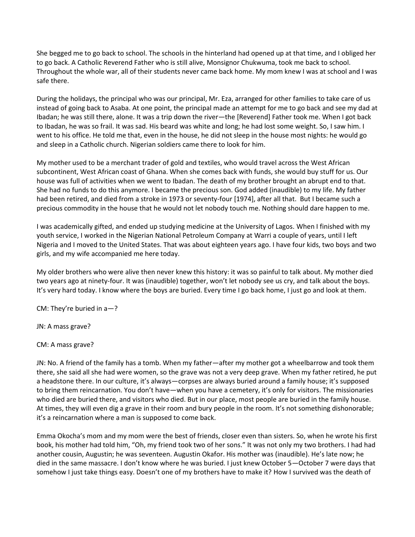She begged me to go back to school. The schools in the hinterland had opened up at that time, and I obliged her to go back. A Catholic Reverend Father who is still alive, Monsignor Chukwuma, took me back to school. Throughout the whole war, all of their students never came back home. My mom knew I was at school and I was safe there.

During the holidays, the principal who was our principal, Mr. Eza, arranged for other families to take care of us instead of going back to Asaba. At one point, the principal made an attempt for me to go back and see my dad at Ibadan; he was still there, alone. It was a trip down the river—the [Reverend] Father took me. When I got back to Ibadan, he was so frail. It was sad. His beard was white and long; he had lost some weight. So, I saw him. I went to his office. He told me that, even in the house, he did not sleep in the house most nights: he would go and sleep in a Catholic church. Nigerian soldiers came there to look for him.

My mother used to be a merchant trader of gold and textiles, who would travel across the West African subcontinent, West African coast of Ghana. When she comes back with funds, she would buy stuff for us. Our house was full of activities when we went to Ibadan. The death of my brother brought an abrupt end to that. She had no funds to do this anymore. I became the precious son. God added (inaudible) to my life. My father had been retired, and died from a stroke in 1973 or seventy-four [1974], after all that. But I became such a precious commodity in the house that he would not let nobody touch me. Nothing should dare happen to me.

I was academically gifted, and ended up studying medicine at the University of Lagos. When I finished with my youth service, I worked in the Nigerian National Petroleum Company at Warri a couple of years, until I left Nigeria and I moved to the United States. That was about eighteen years ago. I have four kids, two boys and two girls, and my wife accompanied me here today.

My older brothers who were alive then never knew this history: it was so painful to talk about. My mother died two years ago at ninety-four. It was (inaudible) together, won't let nobody see us cry, and talk about the boys. It's very hard today. I know where the boys are buried. Every time I go back home, I just go and look at them.

CM: They're buried in a—?

JN: A mass grave?

CM: A mass grave?

JN: No. A friend of the family has a tomb. When my father—after my mother got a wheelbarrow and took them there, she said all she had were women, so the grave was not a very deep grave. When my father retired, he put a headstone there. In our culture, it's always—corpses are always buried around a family house; it's supposed to bring them reincarnation. You don't have—when you have a cemetery, it's only for visitors. The missionaries who died are buried there, and visitors who died. But in our place, most people are buried in the family house. At times, they will even dig a grave in their room and bury people in the room. It's not something dishonorable; it's a reincarnation where a man is supposed to come back.

Emma Okocha's mom and my mom were the best of friends, closer even than sisters. So, when he wrote his first book, his mother had told him, "Oh, my friend took two of her sons." It was not only my two brothers. I had had another cousin, Augustin; he was seventeen. Augustin Okafor. His mother was (inaudible). He's late now; he died in the same massacre. I don't know where he was buried. I just knew October 5—October 7 were days that somehow I just take things easy. Doesn't one of my brothers have to make it? How I survived was the death of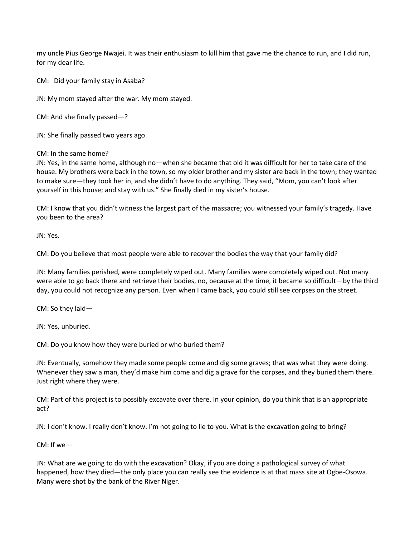my uncle Pius George Nwajei. It was their enthusiasm to kill him that gave me the chance to run, and I did run, for my dear life.

CM: Did your family stay in Asaba?

JN: My mom stayed after the war. My mom stayed.

CM: And she finally passed—?

JN: She finally passed two years ago.

CM: In the same home?

JN: Yes, in the same home, although no—when she became that old it was difficult for her to take care of the house. My brothers were back in the town, so my older brother and my sister are back in the town; they wanted to make sure—they took her in, and she didn't have to do anything. They said, "Mom, you can't look after yourself in this house; and stay with us." She finally died in my sister's house.

CM: I know that you didn't witness the largest part of the massacre; you witnessed your family's tragedy. Have you been to the area?

JN: Yes.

CM: Do you believe that most people were able to recover the bodies the way that your family did?

JN: Many families perished, were completely wiped out. Many families were completely wiped out. Not many were able to go back there and retrieve their bodies, no, because at the time, it became so difficult—by the third day, you could not recognize any person. Even when I came back, you could still see corpses on the street.

CM: So they laid—

JN: Yes, unburied.

CM: Do you know how they were buried or who buried them?

JN: Eventually, somehow they made some people come and dig some graves; that was what they were doing. Whenever they saw a man, they'd make him come and dig a grave for the corpses, and they buried them there. Just right where they were.

CM: Part of this project is to possibly excavate over there. In your opinion, do you think that is an appropriate act?

JN: I don't know. I really don't know. I'm not going to lie to you. What is the excavation going to bring?

CM: If we—

JN: What are we going to do with the excavation? Okay, if you are doing a pathological survey of what happened, how they died—the only place you can really see the evidence is at that mass site at Ogbe-Osowa. Many were shot by the bank of the River Niger.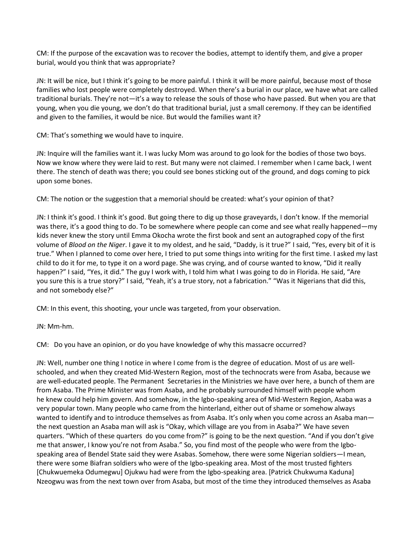CM: If the purpose of the excavation was to recover the bodies, attempt to identify them, and give a proper burial, would you think that was appropriate?

JN: It will be nice, but I think it's going to be more painful. I think it will be more painful, because most of those families who lost people were completely destroyed. When there's a burial in our place, we have what are called traditional burials. They're not—it's a way to release the souls of those who have passed. But when you are that young, when you die young, we don't do that traditional burial, just a small ceremony. If they can be identified and given to the families, it would be nice. But would the families want it?

CM: That's something we would have to inquire.

JN: Inquire will the families want it. I was lucky Mom was around to go look for the bodies of those two boys. Now we know where they were laid to rest. But many were not claimed. I remember when I came back, I went there. The stench of death was there; you could see bones sticking out of the ground, and dogs coming to pick upon some bones.

CM: The notion or the suggestion that a memorial should be created: what's your opinion of that?

JN: I think it's good. I think it's good. But going there to dig up those graveyards, I don't know. If the memorial was there, it's a good thing to do. To be somewhere where people can come and see what really happened—my kids never knew the story until Emma Okocha wrote the first book and sent an autographed copy of the first volume of *Blood on the Niger*. I gave it to my oldest, and he said, "Daddy, is it true?" I said, "Yes, every bit of it is true." When I planned to come over here, I tried to put some things into writing for the first time. I asked my last child to do it for me, to type it on a word page. She was crying, and of course wanted to know, "Did it really happen?" I said, "Yes, it did." The guy I work with, I told him what I was going to do in Florida. He said, "Are you sure this is a true story?" I said, "Yeah, it's a true story, not a fabrication." "Was it Nigerians that did this, and not somebody else?"

CM: In this event, this shooting, your uncle was targeted, from your observation.

JN: Mm-hm.

CM: Do you have an opinion, or do you have knowledge of why this massacre occurred?

JN: Well, number one thing I notice in where I come from is the degree of education. Most of us are wellschooled, and when they created Mid-Western Region, most of the technocrats were from Asaba, because we are well-educated people. The Permanent Secretaries in the Ministries we have over here, a bunch of them are from Asaba. The Prime Minister was from Asaba, and he probably surrounded himself with people whom he knew could help him govern. And somehow, in the Igbo-speaking area of Mid-Western Region, Asaba was a very popular town. Many people who came from the hinterland, either out of shame or somehow always wanted to identify and to introduce themselves as from Asaba. It's only when you come across an Asaba manthe next question an Asaba man will ask is "Okay, which village are you from in Asaba?" We have seven quarters. "Which of these quarters do you come from?" is going to be the next question. "And if you don't give me that answer, I know you're not from Asaba." So, you find most of the people who were from the Igbospeaking area of Bendel State said they were Asabas. Somehow, there were some Nigerian soldiers—I mean, there were some Biafran soldiers who were of the Igbo-speaking area. Most of the most trusted fighters [Chukwuemeka Odumegwu] Ojukwu had were from the Igbo-speaking area. [Patrick Chukwuma Kaduna] Nzeogwu was from the next town over from Asaba, but most of the time they introduced themselves as Asaba